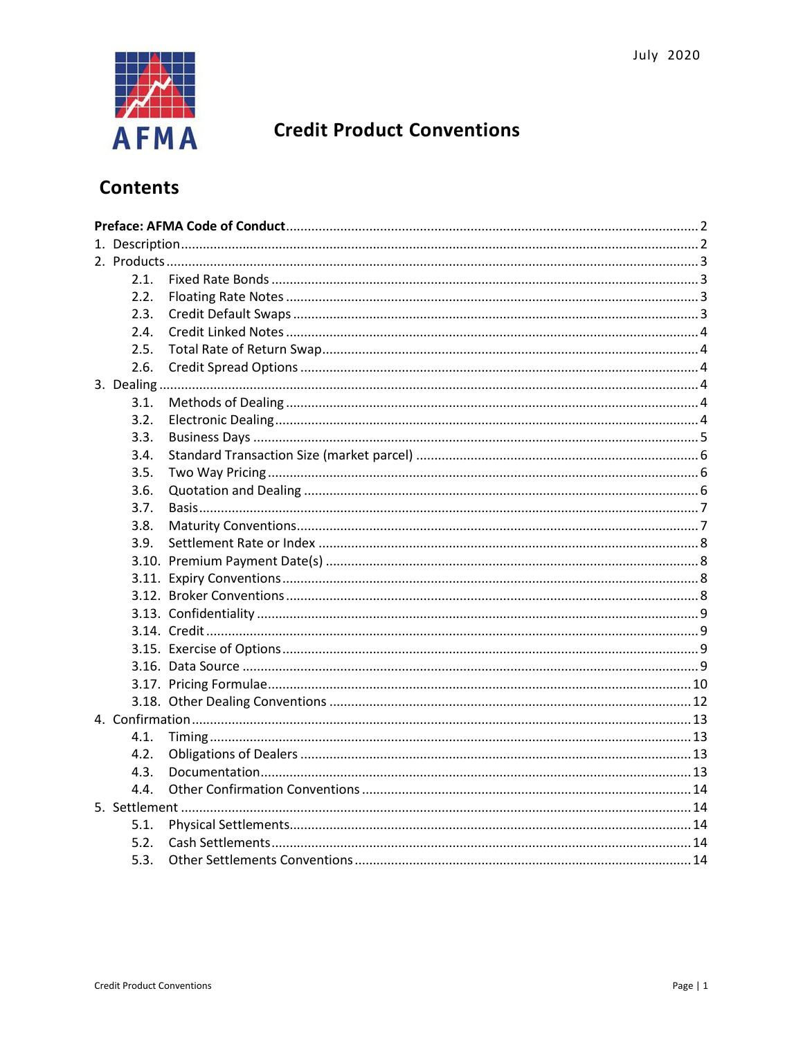

# **Credit Product Conventions**

# **Contents**

| 2.1. |  |  |  |
|------|--|--|--|
| 2.2. |  |  |  |
| 2.3. |  |  |  |
| 2.4. |  |  |  |
| 2.5. |  |  |  |
| 2.6. |  |  |  |
|      |  |  |  |
| 3.1. |  |  |  |
| 3.2. |  |  |  |
| 3.3. |  |  |  |
| 3.4. |  |  |  |
| 3.5. |  |  |  |
| 3.6. |  |  |  |
| 3.7. |  |  |  |
| 3.8. |  |  |  |
| 3.9. |  |  |  |
|      |  |  |  |
|      |  |  |  |
|      |  |  |  |
|      |  |  |  |
|      |  |  |  |
|      |  |  |  |
|      |  |  |  |
|      |  |  |  |
|      |  |  |  |
|      |  |  |  |
| 4.1. |  |  |  |
| 4.2. |  |  |  |
| 4.3. |  |  |  |
| 4.4. |  |  |  |
|      |  |  |  |
| 5.1. |  |  |  |
| 5.2. |  |  |  |
| 5.3. |  |  |  |
|      |  |  |  |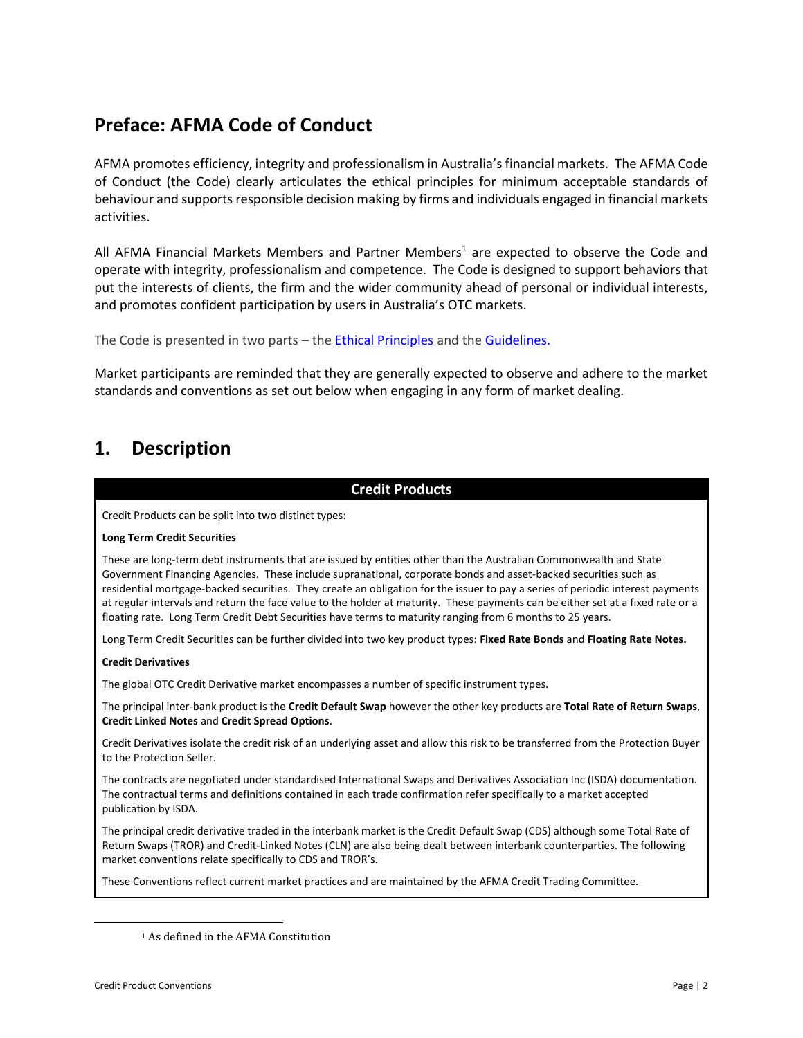# <span id="page-1-0"></span>**Preface: AFMA Code of Conduct**

AFMA promotes efficiency, integrity and professionalism in Australia's financial markets. The AFMA Code of Conduct (the Code) clearly articulates the ethical principles for minimum acceptable standards of behaviour and supports responsible decision making by firms and individuals engaged in financial markets activities.

All AFMA Financial Markets Members and Partner Members<sup>1</sup> are expected to observe the Code and operate with integrity, professionalism and competence. The Code is designed to support behaviors that put the interests of clients, the firm and the wider community ahead of personal or individual interests, and promotes confident participation by users in Australia's OTC markets.

```
The Code is presented in two parts – the Ethical Principles and the Guidelines.
```
Market participants are reminded that they are generally expected to observe and adhere to the market standards and conventions as set out below when engaging in any form of market dealing.

# <span id="page-1-1"></span>**1. Description**

### **Credit Products** Credit Products can be split into two distinct types: **Long Term Credit Securities** These are long-term debt instruments that are issued by entities other than the Australian Commonwealth and State Government Financing Agencies. These include supranational, corporate bonds and asset-backed securities such as residential mortgage-backed securities. They create an obligation for the issuer to pay a series of periodic interest payments at regular intervals and return the face value to the holder at maturity. These payments can be either set at a fixed rate or a floating rate. Long Term Credit Debt Securities have terms to maturity ranging from 6 months to 25 years. Long Term Credit Securities can be further divided into two key product types: **Fixed Rate Bonds** and **Floating Rate Notes. Credit Derivatives** The global OTC Credit Derivative market encompasses a number of specific instrument types. The principal inter-bank product is the **Credit Default Swap** however the other key products are **Total Rate of Return Swaps**, **Credit Linked Notes** and **Credit Spread Options**. Credit Derivatives isolate the credit risk of an underlying asset and allow this risk to be transferred from the Protection Buyer to the Protection Seller. The contracts are negotiated under standardised International Swaps and Derivatives Association Inc (ISDA) documentation. The contractual terms and definitions contained in each trade confirmation refer specifically to a market accepted publication by ISDA. The principal credit derivative traded in the interbank market is the Credit Default Swap (CDS) although some Total Rate of Return Swaps (TROR) and Credit-Linked Notes (CLN) are also being dealt between interbank counterparties. The following market conventions relate specifically to CDS and TROR's. These Conventions reflect current market practices and are maintained by the AFMA Credit Trading Committee.

<sup>1</sup> As defined in the AFMA Constitution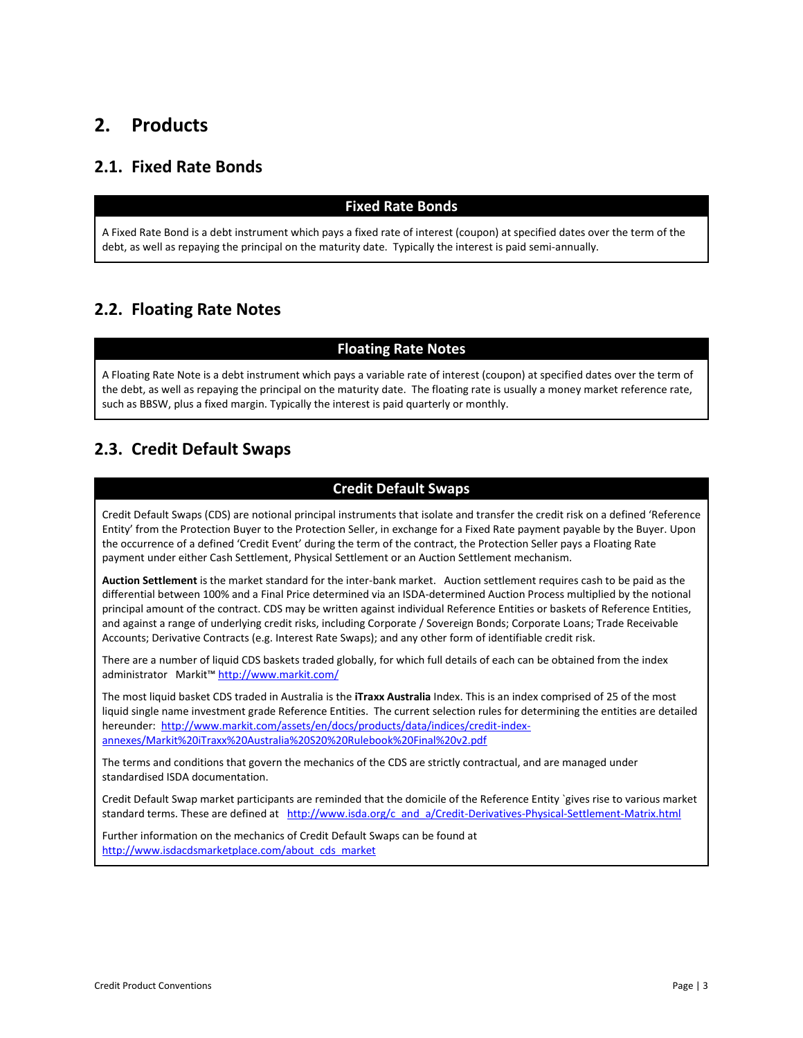# <span id="page-2-0"></span>**2. Products**

### <span id="page-2-1"></span>**2.1. Fixed Rate Bonds**

### **Fixed Rate Bonds**

A Fixed Rate Bond is a debt instrument which pays a fixed rate of interest (coupon) at specified dates over the term of the debt, as well as repaying the principal on the maturity date. Typically the interest is paid semi-annually.

### <span id="page-2-2"></span>**2.2. Floating Rate Notes**

### **Floating Rate Notes**

A Floating Rate Note is a debt instrument which pays a variable rate of interest (coupon) at specified dates over the term of the debt, as well as repaying the principal on the maturity date. The floating rate is usually a money market reference rate, such as BBSW, plus a fixed margin. Typically the interest is paid quarterly or monthly.

## <span id="page-2-3"></span>**2.3. Credit Default Swaps**

### **Credit Default Swaps**

Credit Default Swaps (CDS) are notional principal instruments that isolate and transfer the credit risk on a defined 'Reference Entity' from the Protection Buyer to the Protection Seller, in exchange for a Fixed Rate payment payable by the Buyer. Upon the occurrence of a defined 'Credit Event' during the term of the contract, the Protection Seller pays a Floating Rate payment under either Cash Settlement, Physical Settlement or an Auction Settlement mechanism.

**Auction Settlement** is the market standard for the inter-bank market. Auction settlement requires cash to be paid as the differential between 100% and a Final Price determined via an ISDA-determined Auction Process multiplied by the notional principal amount of the contract. CDS may be written against individual Reference Entities or baskets of Reference Entities, and against a range of underlying credit risks, including Corporate / Sovereign Bonds; Corporate Loans; Trade Receivable Accounts; Derivative Contracts (e.g. Interest Rate Swaps); and any other form of identifiable credit risk.

There are a number of liquid CDS baskets traded globally, for which full details of each can be obtained from the index administrator Markit™ <http://www.markit.com/>

The most liquid basket CDS traded in Australia is the **iTraxx Australia** Index. This is an index comprised of 25 of the most liquid single name investment grade Reference Entities. The current selection rules for determining the entities are detailed hereunder: [http://www.markit.com/assets/en/docs/products/data/indices/credit-index](http://www.markit.com/assets/en/docs/products/data/indices/credit-index-annexes/Markit%20iTraxx%20Australia%20S20%20Rulebook%20Final%20v2.pdf)[annexes/Markit%20iTraxx%20Australia%20S20%20Rulebook%20Final%20v2.pdf](http://www.markit.com/assets/en/docs/products/data/indices/credit-index-annexes/Markit%20iTraxx%20Australia%20S20%20Rulebook%20Final%20v2.pdf)

The terms and conditions that govern the mechanics of the CDS are strictly contractual, and are managed under standardised ISDA documentation.

Credit Default Swap market participants are reminded that the domicile of the Reference Entity `gives rise to various market standard terms. These are defined at http://www.isda.org/c\_and\_a/Credit-Derivatives-Physical-Settlement-Matrix.html

Further information on the mechanics of Credit Default Swaps can be found at [http://www.isdacdsmarketplace.com/about\\_cds\\_market](http://www.isdacdsmarketplace.com/about_cds_market)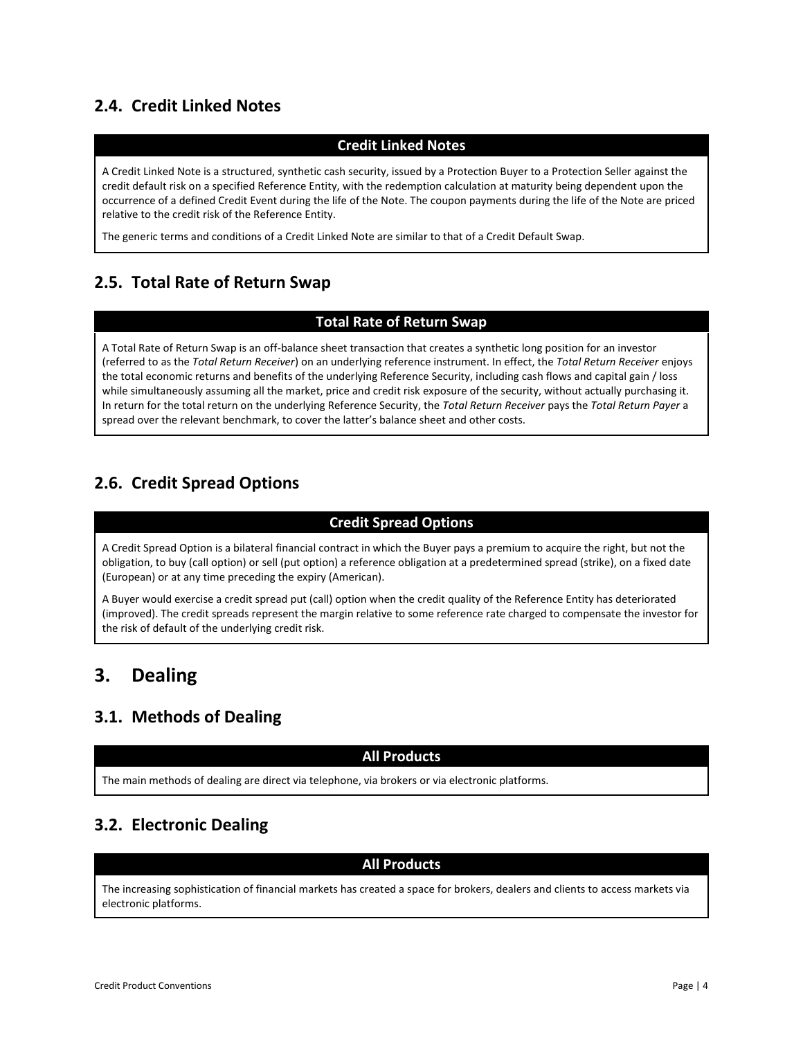## <span id="page-3-0"></span>**2.4. Credit Linked Notes**

### **Credit Linked Notes**

A Credit Linked Note is a structured, synthetic cash security, issued by a Protection Buyer to a Protection Seller against the credit default risk on a specified Reference Entity, with the redemption calculation at maturity being dependent upon the occurrence of a defined Credit Event during the life of the Note. The coupon payments during the life of the Note are priced relative to the credit risk of the Reference Entity.

The generic terms and conditions of a Credit Linked Note are similar to that of a Credit Default Swap.

### <span id="page-3-1"></span>**2.5. Total Rate of Return Swap**

### **Total Rate of Return Swap**

A Total Rate of Return Swap is an off-balance sheet transaction that creates a synthetic long position for an investor (referred to as the *Total Return Receiver*) on an underlying reference instrument. In effect, the *Total Return Receiver* enjoys the total economic returns and benefits of the underlying Reference Security, including cash flows and capital gain / loss while simultaneously assuming all the market, price and credit risk exposure of the security, without actually purchasing it. In return for the total return on the underlying Reference Security, the *Total Return Receiver* pays the *Total Return Payer* a spread over the relevant benchmark, to cover the latter's balance sheet and other costs.

### <span id="page-3-2"></span>**2.6. Credit Spread Options**

### **Credit Spread Options**

A Credit Spread Option is a bilateral financial contract in which the Buyer pays a premium to acquire the right, but not the obligation, to buy (call option) or sell (put option) a reference obligation at a predetermined spread (strike), on a fixed date (European) or at any time preceding the expiry (American).

A Buyer would exercise a credit spread put (call) option when the credit quality of the Reference Entity has deteriorated (improved). The credit spreads represent the margin relative to some reference rate charged to compensate the investor for the risk of default of the underlying credit risk.

# <span id="page-3-3"></span>**3. Dealing**

### <span id="page-3-4"></span>**3.1. Methods of Dealing**

### **All Products**

The main methods of dealing are direct via telephone, via brokers or via electronic platforms.

## <span id="page-3-5"></span>**3.2. Electronic Dealing**

### **All Products**

The increasing sophistication of financial markets has created a space for brokers, dealers and clients to access markets via electronic platforms.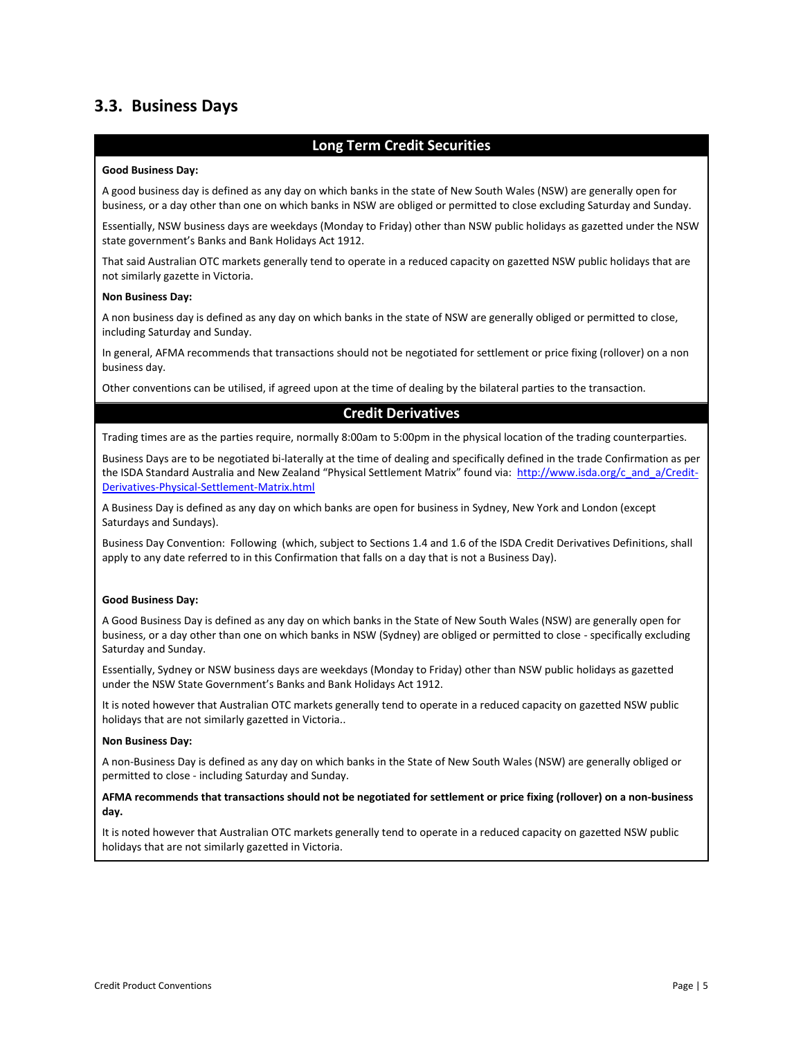### <span id="page-4-0"></span>**3.3. Business Days**

#### **Long Term Credit Securities**

#### **Good Business Day:**

A good business day is defined as any day on which banks in the state of New South Wales (NSW) are generally open for business, or a day other than one on which banks in NSW are obliged or permitted to close excluding Saturday and Sunday.

Essentially, NSW business days are weekdays (Monday to Friday) other than NSW public holidays as gazetted under the NSW state government's Banks and Bank Holidays Act 1912.

That said Australian OTC markets generally tend to operate in a reduced capacity on gazetted NSW public holidays that are not similarly gazette in Victoria.

#### **Non Business Day:**

A non business day is defined as any day on which banks in the state of NSW are generally obliged or permitted to close, including Saturday and Sunday.

In general, AFMA recommends that transactions should not be negotiated for settlement or price fixing (rollover) on a non business day.

Other conventions can be utilised, if agreed upon at the time of dealing by the bilateral parties to the transaction.

#### **Credit Derivatives**

Trading times are as the parties require, normally 8:00am to 5:00pm in the physical location of the trading counterparties.

Business Days are to be negotiated bi-laterally at the time of dealing and specifically defined in the trade Confirmation as per the ISDA Standard Australia and New Zealand "Physical Settlement Matrix" found via: [http://www.isda.org/c\\_and\\_a/Credit-](http://www.isda.org/c_and_a/Credit-Derivatives-Physical-Settlement-Matrix.html)[Derivatives-Physical-Settlement-Matrix.html](http://www.isda.org/c_and_a/Credit-Derivatives-Physical-Settlement-Matrix.html)

A Business Day is defined as any day on which banks are open for business in Sydney, New York and London (except Saturdays and Sundays).

Business Day Convention: Following (which, subject to Sections 1.4 and 1.6 of the ISDA Credit Derivatives Definitions, shall apply to any date referred to in this Confirmation that falls on a day that is not a Business Day).

#### **Good Business Day:**

A Good Business Day is defined as any day on which banks in the State of New South Wales (NSW) are generally open for business, or a day other than one on which banks in NSW (Sydney) are obliged or permitted to close - specifically excluding Saturday and Sunday.

Essentially, Sydney or NSW business days are weekdays (Monday to Friday) other than NSW public holidays as gazetted under the NSW State Government's Banks and Bank Holidays Act 1912.

It is noted however that Australian OTC markets generally tend to operate in a reduced capacity on gazetted NSW public holidays that are not similarly gazetted in Victoria..

#### **Non Business Day:**

A non-Business Day is defined as any day on which banks in the State of New South Wales (NSW) are generally obliged or permitted to close - including Saturday and Sunday.

#### **AFMA recommends that transactions should not be negotiated for settlement or price fixing (rollover) on a non-business day.**

It is noted however that Australian OTC markets generally tend to operate in a reduced capacity on gazetted NSW public holidays that are not similarly gazetted in Victoria.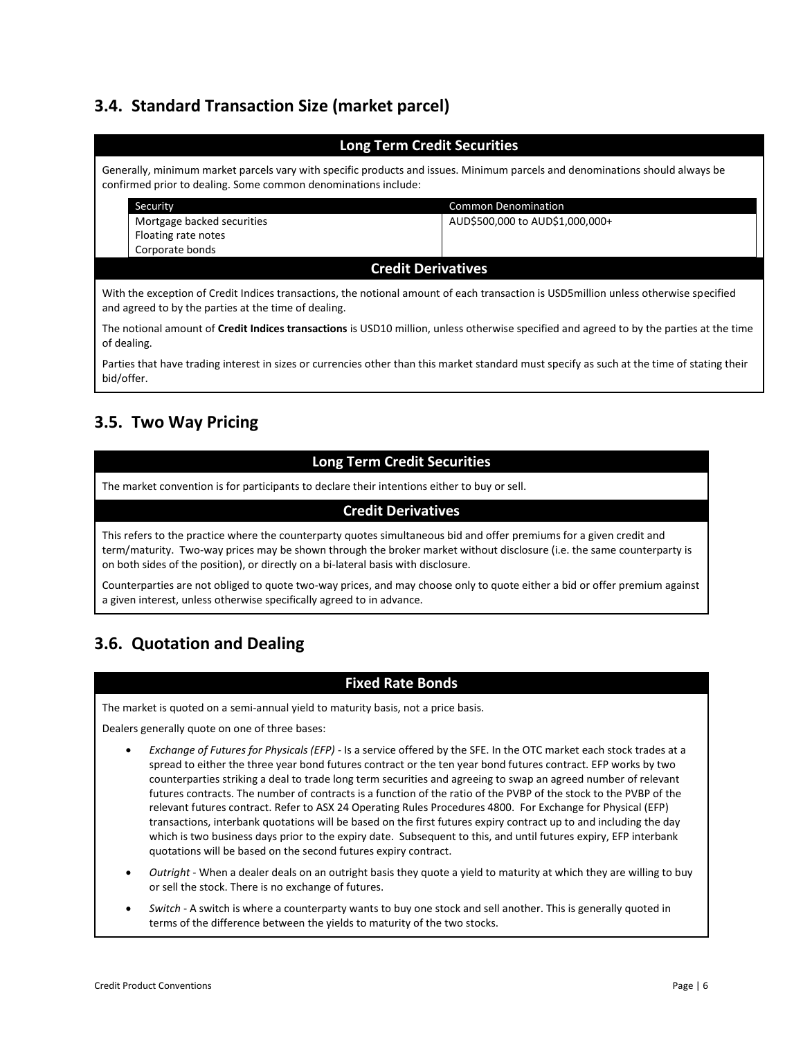# <span id="page-5-0"></span>**3.4. Standard Transaction Size (market parcel)**

| <b>Long Term Credit Securities</b>                                                                                                                                                             |                                 |  |  |  |  |  |
|------------------------------------------------------------------------------------------------------------------------------------------------------------------------------------------------|---------------------------------|--|--|--|--|--|
| Generally, minimum market parcels vary with specific products and issues. Minimum parcels and denominations should always be<br>confirmed prior to dealing. Some common denominations include: |                                 |  |  |  |  |  |
| Security                                                                                                                                                                                       | <b>Common Denomination</b>      |  |  |  |  |  |
| Mortgage backed securities                                                                                                                                                                     | AUD\$500,000 to AUD\$1,000,000+ |  |  |  |  |  |
| Floating rate notes                                                                                                                                                                            |                                 |  |  |  |  |  |
| Corporate bonds                                                                                                                                                                                |                                 |  |  |  |  |  |
| <b>Credit Derivatives</b>                                                                                                                                                                      |                                 |  |  |  |  |  |
| With the exception of Credit Indices transactions, the notional amount of each transaction is USD5 million unless otherwise specified<br>and agreed to by the parties at the time of dealing.  |                                 |  |  |  |  |  |
| The notional amount of Credit Indices transactions is USD10 million, unless otherwise specified and agreed to by the parties at the time<br>of dealing.                                        |                                 |  |  |  |  |  |
| Parties that have trading interest in sizes or currencies other than this market standard must specify as such at the time of stating their                                                    |                                 |  |  |  |  |  |

### <span id="page-5-1"></span>**3.5. Two Way Pricing**

bid/offer.

### **Long Term Credit Securities**

The market convention is for participants to declare their intentions either to buy or sell.

### **Credit Derivatives**

This refers to the practice where the counterparty quotes simultaneous bid and offer premiums for a given credit and term/maturity. Two-way prices may be shown through the broker market without disclosure (i.e. the same counterparty is on both sides of the position), or directly on a bi-lateral basis with disclosure.

Counterparties are not obliged to quote two-way prices, and may choose only to quote either a bid or offer premium against a given interest, unless otherwise specifically agreed to in advance.

## <span id="page-5-2"></span>**3.6. Quotation and Dealing**

### **Fixed Rate Bonds**

The market is quoted on a semi-annual yield to maturity basis, not a price basis.

Dealers generally quote on one of three bases:

- *Exchange of Futures for Physicals (EFP)* Is a service offered by the SFE. In the OTC market each stock trades at a spread to either the three year bond futures contract or the ten year bond futures contract. EFP works by two counterparties striking a deal to trade long term securities and agreeing to swap an agreed number of relevant futures contracts. The number of contracts is a function of the ratio of the PVBP of the stock to the PVBP of the relevant futures contract. Refer to ASX 24 Operating Rules Procedures 4800. For Exchange for Physical (EFP) transactions, interbank quotations will be based on the first futures expiry contract up to and including the day which is two business days prior to the expiry date. Subsequent to this, and until futures expiry, EFP interbank quotations will be based on the second futures expiry contract.
- *Outright* When a dealer deals on an outright basis they quote a yield to maturity at which they are willing to buy or sell the stock. There is no exchange of futures.
- *Switch* A switch is where a counterparty wants to buy one stock and sell another. This is generally quoted in terms of the difference between the yields to maturity of the two stocks.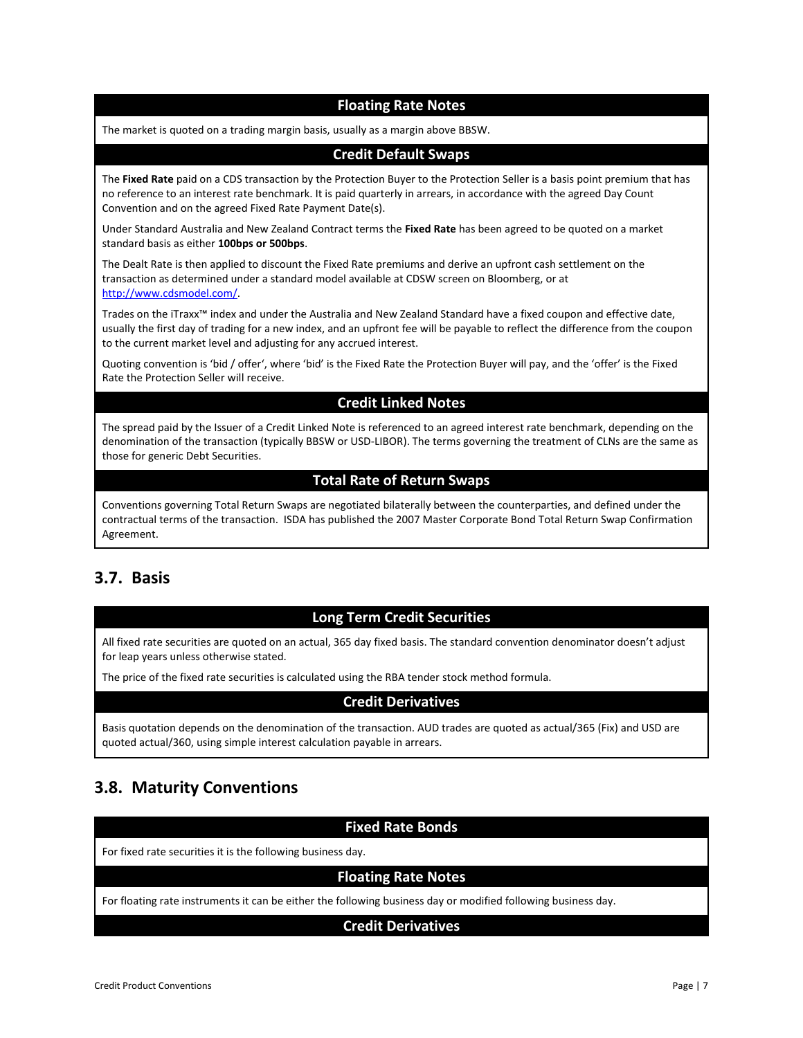### **Floating Rate Notes**

The market is quoted on a trading margin basis, usually as a margin above BBSW.

#### **Credit Default Swaps**

The **Fixed Rate** paid on a CDS transaction by the Protection Buyer to the Protection Seller is a basis point premium that has no reference to an interest rate benchmark. It is paid quarterly in arrears, in accordance with the agreed Day Count Convention and on the agreed Fixed Rate Payment Date(s).

Under Standard Australia and New Zealand Contract terms the **Fixed Rate** has been agreed to be quoted on a market standard basis as either **100bps or 500bps**.

The Dealt Rate is then applied to discount the Fixed Rate premiums and derive an upfront cash settlement on the transaction as determined under a standard model available at CDSW screen on Bloomberg, or at [http://www.cdsmodel.com/.](http://www.cdsmodel.com/)

Trades on the iTraxx™ index and under the Australia and New Zealand Standard have a fixed coupon and effective date, usually the first day of trading for a new index, and an upfront fee will be payable to reflect the difference from the coupon to the current market level and adjusting for any accrued interest.

Quoting convention is 'bid / offer', where 'bid' is the Fixed Rate the Protection Buyer will pay, and the 'offer' is the Fixed Rate the Protection Seller will receive.

### **Credit Linked Notes**

The spread paid by the Issuer of a Credit Linked Note is referenced to an agreed interest rate benchmark, depending on the denomination of the transaction (typically BBSW or USD-LIBOR). The terms governing the treatment of CLNs are the same as those for generic Debt Securities.

#### **Total Rate of Return Swaps**

Conventions governing Total Return Swaps are negotiated bilaterally between the counterparties, and defined under the contractual terms of the transaction. ISDA has published the 2007 Master Corporate Bond Total Return Swap Confirmation Agreement.

### <span id="page-6-0"></span>**3.7. Basis**

### **Long Term Credit Securities**

All fixed rate securities are quoted on an actual, 365 day fixed basis. The standard convention denominator doesn't adjust for leap years unless otherwise stated.

The price of the fixed rate securities is calculated using the RBA tender stock method formula.

#### **Credit Derivatives**

Basis quotation depends on the denomination of the transaction. AUD trades are quoted as actual/365 (Fix) and USD are quoted actual/360, using simple interest calculation payable in arrears.

### <span id="page-6-1"></span>**3.8. Maturity Conventions**

# **Fixed Rate Bonds** For fixed rate securities it is the following business day. **Floating Rate Notes** For floating rate instruments it can be either the following business day or modified following business day. **Credit Derivatives**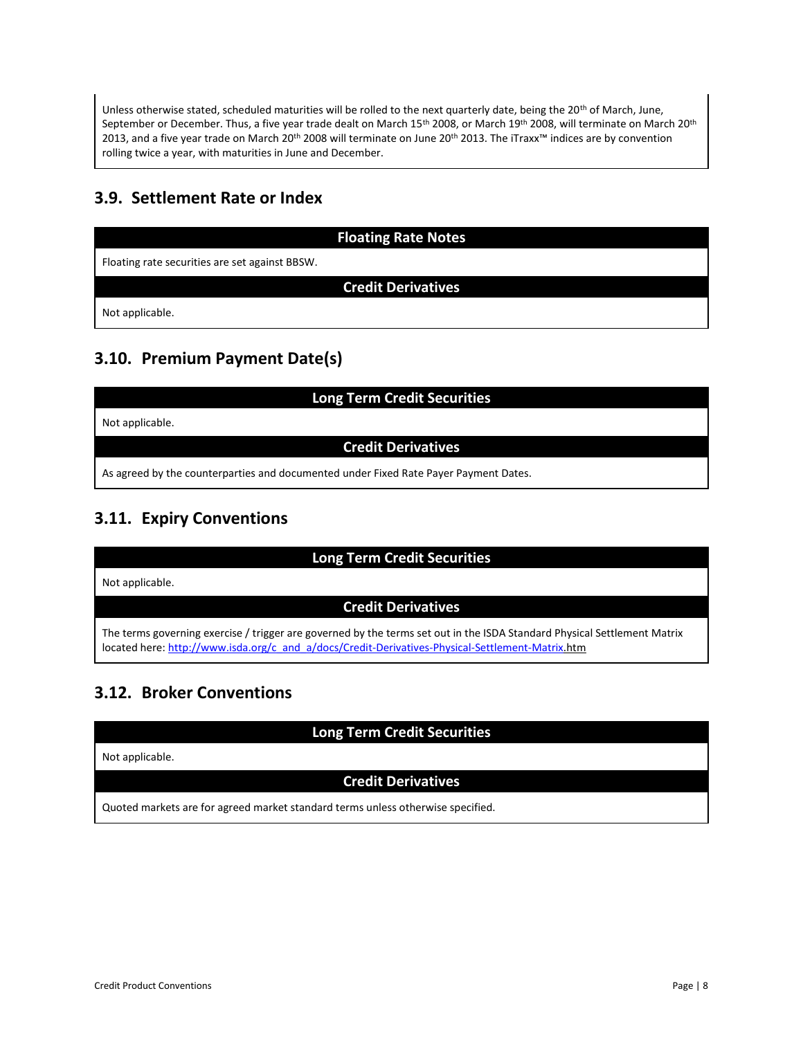Unless otherwise stated, scheduled maturities will be rolled to the next quarterly date, being the 20<sup>th</sup> of March, June, September or December. Thus, a five year trade dealt on March 15<sup>th</sup> 2008, or March 19<sup>th</sup> 2008, will terminate on March 20<sup>th</sup> 2013, and a five year trade on March 20th 2008 will terminate on June 20th 2013. The iTraxx™ indices are by convention rolling twice a year, with maturities in June and December.

# <span id="page-7-0"></span>**3.9. Settlement Rate or Index**

|                                                | <b>Floating Rate Notes</b> |
|------------------------------------------------|----------------------------|
| Floating rate securities are set against BBSW. |                            |
|                                                | <b>Credit Derivatives</b>  |
| Not applicable.                                |                            |

# <span id="page-7-1"></span>**3.10. Premium Payment Date(s)**

| <b>Long Term Credit Securities</b>                                                   |  |  |  |  |
|--------------------------------------------------------------------------------------|--|--|--|--|
| Not applicable.                                                                      |  |  |  |  |
| <b>Credit Derivatives</b>                                                            |  |  |  |  |
| As agreed by the counterparties and documented under Fixed Rate Payer Payment Dates. |  |  |  |  |

# <span id="page-7-2"></span>**3.11. Expiry Conventions**

| <b>Long Term Credit Securities</b>                                                                                                                                                                                           |  |  |  |  |
|------------------------------------------------------------------------------------------------------------------------------------------------------------------------------------------------------------------------------|--|--|--|--|
| Not applicable.                                                                                                                                                                                                              |  |  |  |  |
| <b>Credit Derivatives</b>                                                                                                                                                                                                    |  |  |  |  |
| The terms governing exercise / trigger are governed by the terms set out in the ISDA Standard Physical Settlement Matrix<br>located here: http://www.isda.org/c and a/docs/Credit-Derivatives-Physical-Settlement-Matrix.htm |  |  |  |  |

# <span id="page-7-3"></span>**3.12. Broker Conventions**

| <b>Long Term Credit Securities</b>                                              |  |  |  |  |
|---------------------------------------------------------------------------------|--|--|--|--|
| Not applicable.                                                                 |  |  |  |  |
| <b>Credit Derivatives</b>                                                       |  |  |  |  |
| Quoted markets are for agreed market standard terms unless otherwise specified. |  |  |  |  |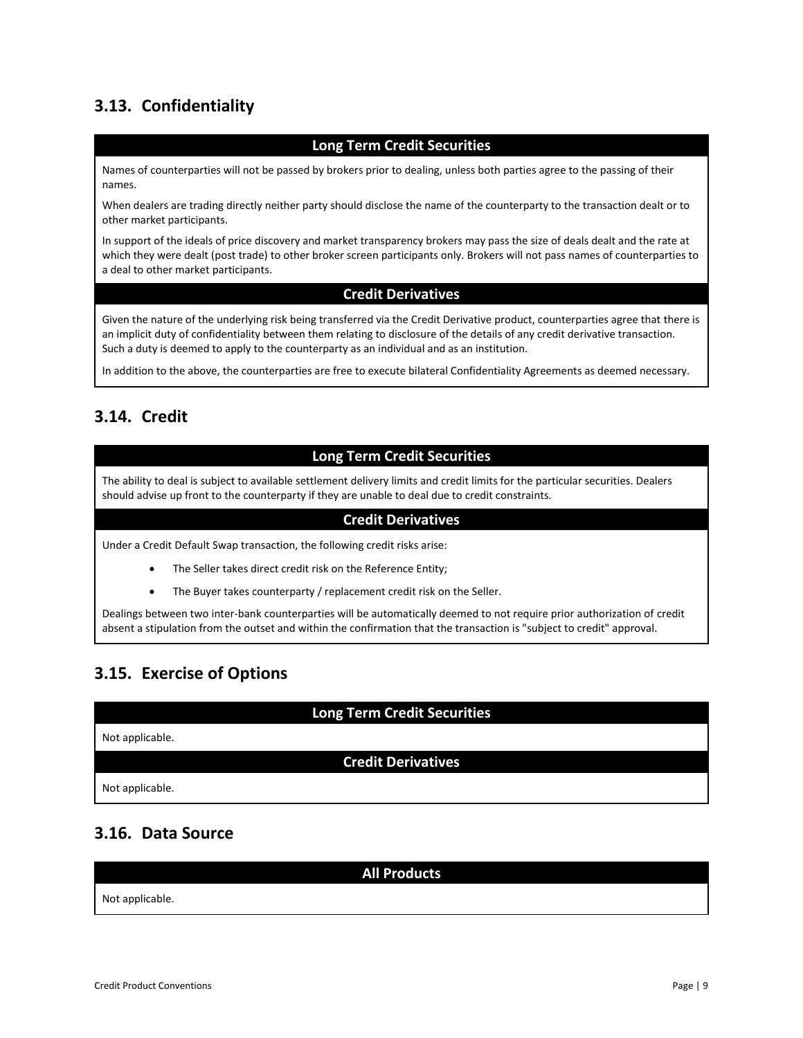# <span id="page-8-0"></span>**3.13. Confidentiality**

### **Long Term Credit Securities**

Names of counterparties will not be passed by brokers prior to dealing, unless both parties agree to the passing of their names.

When dealers are trading directly neither party should disclose the name of the counterparty to the transaction dealt or to other market participants.

In support of the ideals of price discovery and market transparency brokers may pass the size of deals dealt and the rate at which they were dealt (post trade) to other broker screen participants only. Brokers will not pass names of counterparties to a deal to other market participants.

#### **Credit Derivatives**

Given the nature of the underlying risk being transferred via the Credit Derivative product, counterparties agree that there is an implicit duty of confidentiality between them relating to disclosure of the details of any credit derivative transaction. Such a duty is deemed to apply to the counterparty as an individual and as an institution.

In addition to the above, the counterparties are free to execute bilateral Confidentiality Agreements as deemed necessary.

## <span id="page-8-1"></span>**3.14. Credit**

### **Long Term Credit Securities**

The ability to deal is subject to available settlement delivery limits and credit limits for the particular securities. Dealers should advise up front to the counterparty if they are unable to deal due to credit constraints.

#### **Credit Derivatives**

Under a Credit Default Swap transaction, the following credit risks arise:

- The Seller takes direct credit risk on the Reference Entity;
- The Buyer takes counterparty / replacement credit risk on the Seller.

Dealings between two inter-bank counterparties will be automatically deemed to not require prior authorization of credit absent a stipulation from the outset and within the confirmation that the transaction is "subject to credit" approval.

### <span id="page-8-2"></span>**3.15. Exercise of Options**

### **Long Term Credit Securities**

#### Not applicable.

### **Credit Derivatives**

Not applicable.

### <span id="page-8-3"></span>**3.16. Data Source**

**All Products** Not applicable.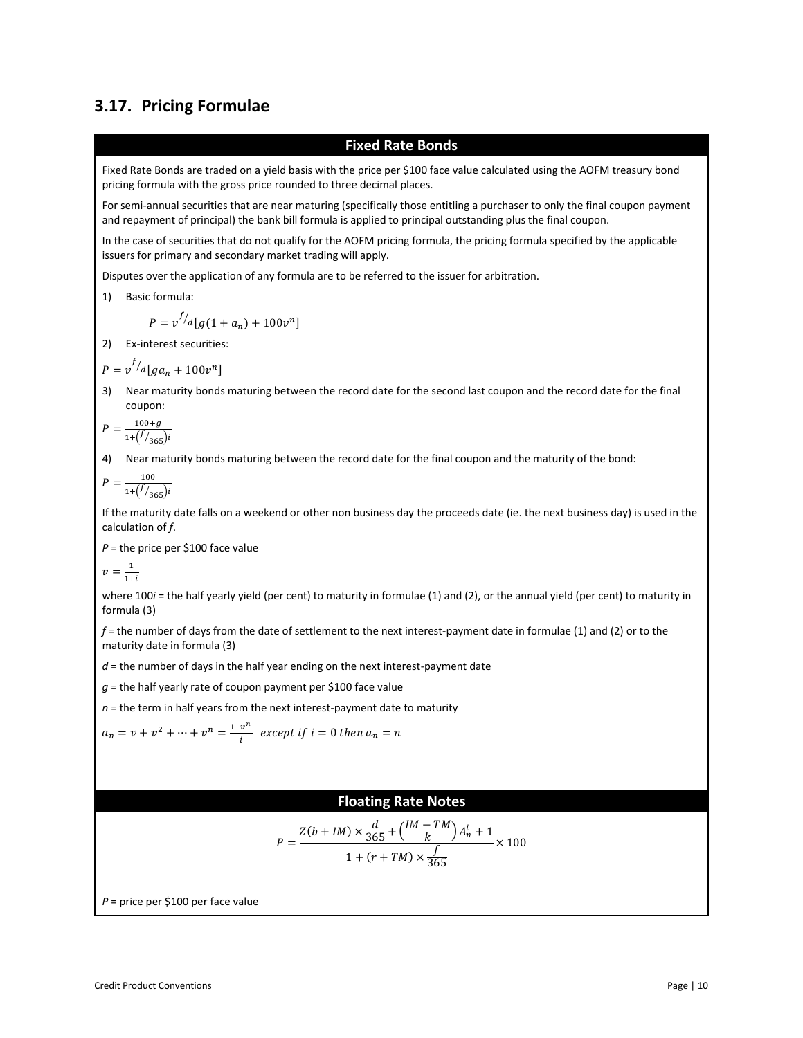### <span id="page-9-0"></span>**3.17. Pricing Formulae**

#### **Fixed Rate Bonds**

Fixed Rate Bonds are traded on a yield basis with the price per \$100 face value calculated using the AOFM treasury bond pricing formula with the gross price rounded to three decimal places.

For semi-annual securities that are near maturing (specifically those entitling a purchaser to only the final coupon payment and repayment of principal) the bank bill formula is applied to principal outstanding plus the final coupon.

In the case of securities that do not qualify for the AOFM pricing formula, the pricing formula specified by the applicable issuers for primary and secondary market trading will apply.

Disputes over the application of any formula are to be referred to the issuer for arbitration.

1) Basic formula:

$$
P = v^{f/d} [g(1 + a_n) + 100v^n]
$$

2) Ex-interest securities:

$$
P = v^{f/d}[ga_n + 100v^n]
$$

3) Near maturity bonds maturing between the record date for the second last coupon and the record date for the final coupon:

$$
P = \frac{100 + g}{1 + \left(\frac{f}{365}\right)i}
$$

4) Near maturity bonds maturing between the record date for the final coupon and the maturity of the bond:

$$
P = \frac{100}{1 + (\frac{f}{365})i}
$$

If the maturity date falls on a weekend or other non business day the proceeds date (ie. the next business day) is used in the calculation of *f*.

*P* = the price per \$100 face value

$$
v = \frac{1}{1+i}
$$

where 100*i* = the half yearly yield (per cent) to maturity in formulae (1) and (2), or the annual yield (per cent) to maturity in formula (3)

*f* = the number of days from the date of settlement to the next interest-payment date in formulae (1) and (2) or to the maturity date in formula (3)

*d* = the number of days in the half year ending on the next interest-payment date

*g* = the half yearly rate of coupon payment per \$100 face value

 $n =$  the term in half years from the next interest-payment date to maturity

$$
a_n = v + v^2 + \dots + v^n = \frac{1 - v^n}{i}
$$
 except if  $i = 0$  then  $a_n = n$ 

#### **Floating Rate Notes**

$$
P = \frac{Z(b + IM) \times \frac{d}{365} + (\frac{IM - TM}{k})A_n^i + 1}{1 + (r + TM) \times \frac{f}{365}} \times 100
$$

*P* = price per \$100 per face value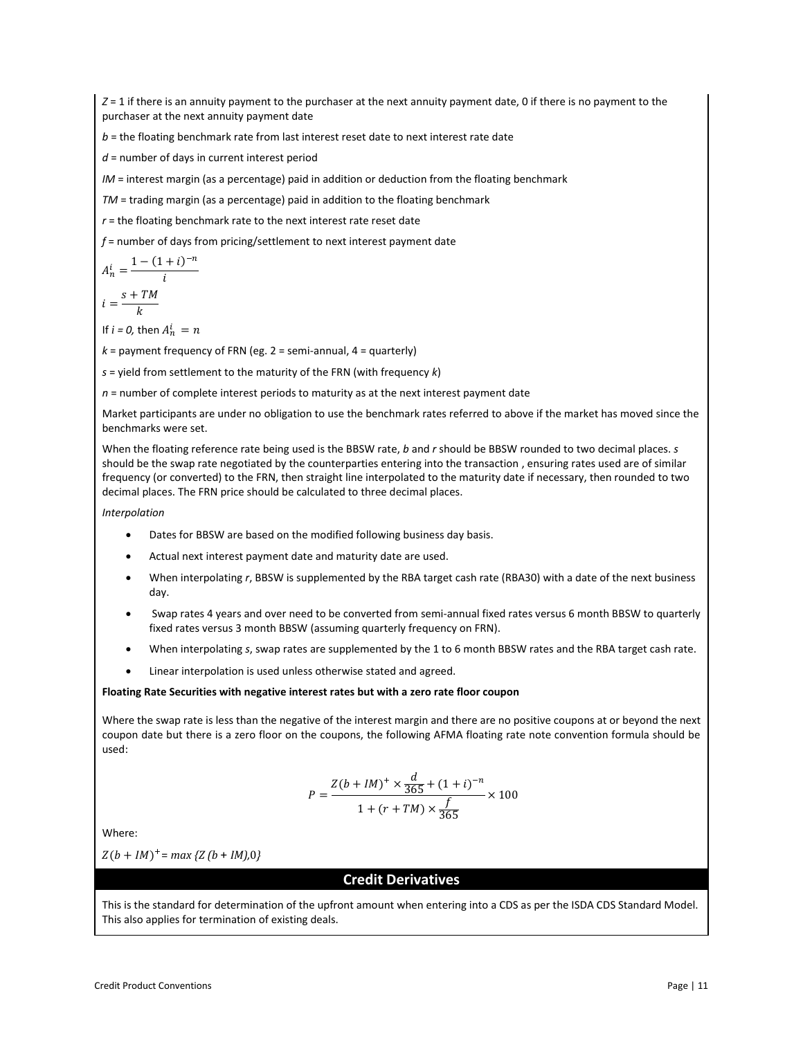*Z* = 1 if there is an annuity payment to the purchaser at the next annuity payment date, 0 if there is no payment to the purchaser at the next annuity payment date

*b* = the floating benchmark rate from last interest reset date to next interest rate date

*d* = number of days in current interest period

*IM* = interest margin (as a percentage) paid in addition or deduction from the floating benchmark

*TM* = trading margin (as a percentage) paid in addition to the floating benchmark

*r* = the floating benchmark rate to the next interest rate reset date

*f* = number of days from pricing/settlement to next interest payment date

$$
A_n^i = \frac{1 - (1+i)^{-n}}{i}
$$

$$
i = \frac{s + TM}{k}
$$

If  $i = 0$ , then  $A_n^i = n$ 

 $k =$  payment frequency of FRN (eg.  $2 =$  semi-annual,  $4 =$  quarterly)

*s* = yield from settlement to the maturity of the FRN (with frequency *k*)

*n* = number of complete interest periods to maturity as at the next interest payment date

Market participants are under no obligation to use the benchmark rates referred to above if the market has moved since the benchmarks were set.

When the floating reference rate being used is the BBSW rate, *b* and *r* should be BBSW rounded to two decimal places. *s* should be the swap rate negotiated by the counterparties entering into the transaction , ensuring rates used are of similar frequency (or converted) to the FRN, then straight line interpolated to the maturity date if necessary, then rounded to two decimal places. The FRN price should be calculated to three decimal places.

*Interpolation*

- Dates for BBSW are based on the modified following business day basis.
- Actual next interest payment date and maturity date are used.
- When interpolating *r*, BBSW is supplemented by the RBA target cash rate (RBA30) with a date of the next business day.
- Swap rates 4 years and over need to be converted from semi-annual fixed rates versus 6 month BBSW to quarterly fixed rates versus 3 month BBSW (assuming quarterly frequency on FRN).
- When interpolating *s*, swap rates are supplemented by the 1 to 6 month BBSW rates and the RBA target cash rate.
- Linear interpolation is used unless otherwise stated and agreed.

#### **Floating Rate Securities with negative interest rates but with a zero rate floor coupon**

Where the swap rate is less than the negative of the interest margin and there are no positive coupons at or beyond the next coupon date but there is a zero floor on the coupons, the following AFMA floating rate note convention formula should be used:

$$
P = \frac{Z(b + IM)^{+} \times \frac{d}{365} + (1 + i)^{-n}}{1 + (r + TM) \times \frac{f}{365}} \times 100
$$

Where:

 $Z(b + IM)^+$  = *max* { $Z(b + IM)$ ,0}

### **Credit Derivatives**

This is the standard for determination of the upfront amount when entering into a CDS as per the ISDA CDS Standard Model. This also applies for termination of existing deals.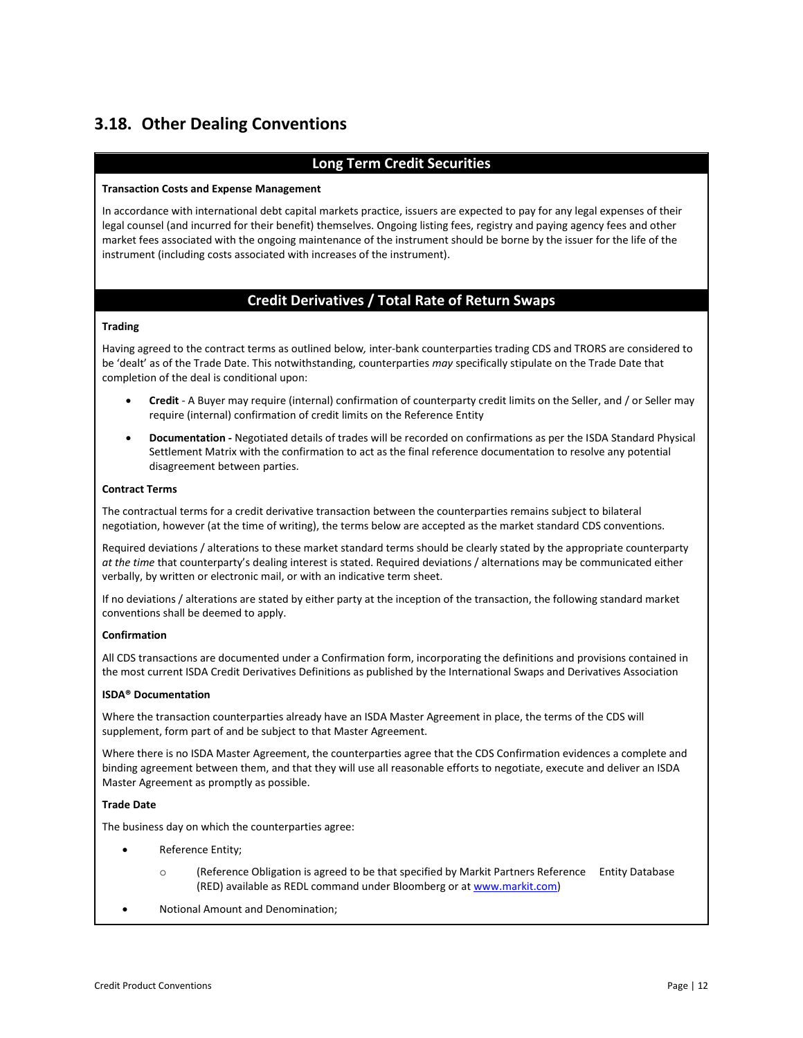# <span id="page-11-0"></span>**3.18. Other Dealing Conventions**

### **Long Term Credit Securities**

#### **Transaction Costs and Expense Management**

In accordance with international debt capital markets practice, issuers are expected to pay for any legal expenses of their legal counsel (and incurred for their benefit) themselves. Ongoing listing fees, registry and paying agency fees and other market fees associated with the ongoing maintenance of the instrument should be borne by the issuer for the life of the instrument (including costs associated with increases of the instrument).

### **Credit Derivatives / Total Rate of Return Swaps**

#### **Trading**

Having agreed to the contract terms as outlined below*,* inter-bank counterparties trading CDS and TRORS are considered to be 'dealt' as of the Trade Date. This notwithstanding, counterparties *may* specifically stipulate on the Trade Date that completion of the deal is conditional upon:

- **Credit**  A Buyer may require (internal) confirmation of counterparty credit limits on the Seller, and / or Seller may require (internal) confirmation of credit limits on the Reference Entity
- **Documentation -** Negotiated details of trades will be recorded on confirmations as per the ISDA Standard Physical Settlement Matrix with the confirmation to act as the final reference documentation to resolve any potential disagreement between parties.

#### **Contract Terms**

The contractual terms for a credit derivative transaction between the counterparties remains subject to bilateral negotiation, however (at the time of writing), the terms below are accepted as the market standard CDS conventions.

Required deviations / alterations to these market standard terms should be clearly stated by the appropriate counterparty *at the time* that counterparty's dealing interest is stated. Required deviations / alternations may be communicated either verbally, by written or electronic mail, or with an indicative term sheet.

If no deviations / alterations are stated by either party at the inception of the transaction, the following standard market conventions shall be deemed to apply.

#### **Confirmation**

All CDS transactions are documented under a Confirmation form, incorporating the definitions and provisions contained in the most current ISDA Credit Derivatives Definitions as published by the International Swaps and Derivatives Association

#### **ISDA® Documentation**

Where the transaction counterparties already have an ISDA Master Agreement in place, the terms of the CDS will supplement, form part of and be subject to that Master Agreement.

Where there is no ISDA Master Agreement, the counterparties agree that the CDS Confirmation evidences a complete and binding agreement between them, and that they will use all reasonable efforts to negotiate, execute and deliver an ISDA Master Agreement as promptly as possible.

#### **Trade Date**

The business day on which the counterparties agree:

- Reference Entity;
	- o (Reference Obligation is agreed to be that specified by Markit Partners Reference Entity Database (RED) available as REDL command under Bloomberg or a[t www.markit.com\)](http://www.markit.com/)
- Notional Amount and Denomination;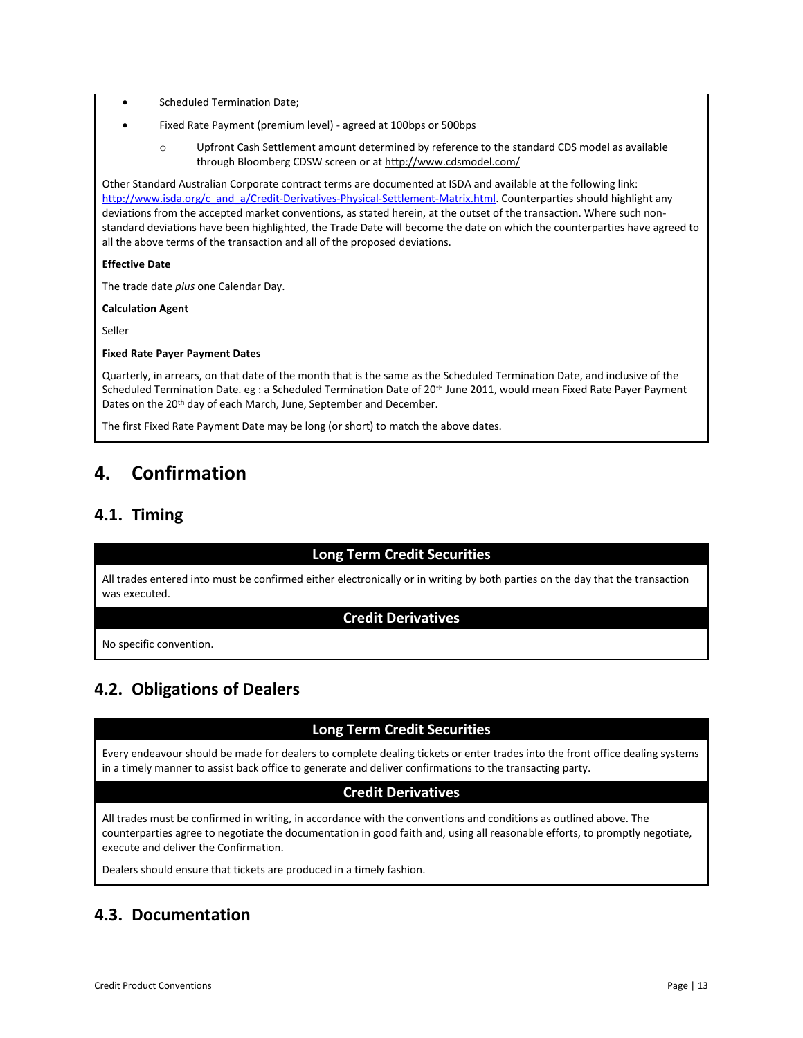- Scheduled Termination Date;
- Fixed Rate Payment (premium level) agreed at 100bps or 500bps
	- o Upfront Cash Settlement amount determined by reference to the standard CDS model as available through Bloomberg CDSW screen or a[t http://www.cdsmodel.com/](http://www.cdsmodel.com/)

Other Standard Australian Corporate contract terms are documented at ISDA and available at the following link: [http://www.isda.org/c\\_and\\_a/Credit-Derivatives-Physical-Settlement-Matrix.html.](http://www.isda.org/c_and_a/Credit-Derivatives-Physical-Settlement-Matrix.html) Counterparties should highlight any deviations from the accepted market conventions, as stated herein, at the outset of the transaction. Where such nonstandard deviations have been highlighted, the Trade Date will become the date on which the counterparties have agreed to all the above terms of the transaction and all of the proposed deviations.

#### **Effective Date**

The trade date *plus* one Calendar Day.

**Calculation Agent**

Seller

#### **Fixed Rate Payer Payment Dates**

Quarterly, in arrears, on that date of the month that is the same as the Scheduled Termination Date, and inclusive of the Scheduled Termination Date. eg : a Scheduled Termination Date of 20<sup>th</sup> June 2011, would mean Fixed Rate Payer Payment Dates on the 20<sup>th</sup> day of each March, June, September and December.

The first Fixed Rate Payment Date may be long (or short) to match the above dates.

# <span id="page-12-0"></span>**4. Confirmation**

### <span id="page-12-1"></span>**4.1. Timing**

### **Long Term Credit Securities**

All trades entered into must be confirmed either electronically or in writing by both parties on the day that the transaction was executed.

#### **Credit Derivatives**

No specific convention.

## <span id="page-12-2"></span>**4.2. Obligations of Dealers**

### **Long Term Credit Securities**

Every endeavour should be made for dealers to complete dealing tickets or enter trades into the front office dealing systems in a timely manner to assist back office to generate and deliver confirmations to the transacting party.

### **Credit Derivatives**

All trades must be confirmed in writing, in accordance with the conventions and conditions as outlined above. The counterparties agree to negotiate the documentation in good faith and, using all reasonable efforts, to promptly negotiate, execute and deliver the Confirmation.

Dealers should ensure that tickets are produced in a timely fashion.

## <span id="page-12-3"></span>**4.3. Documentation**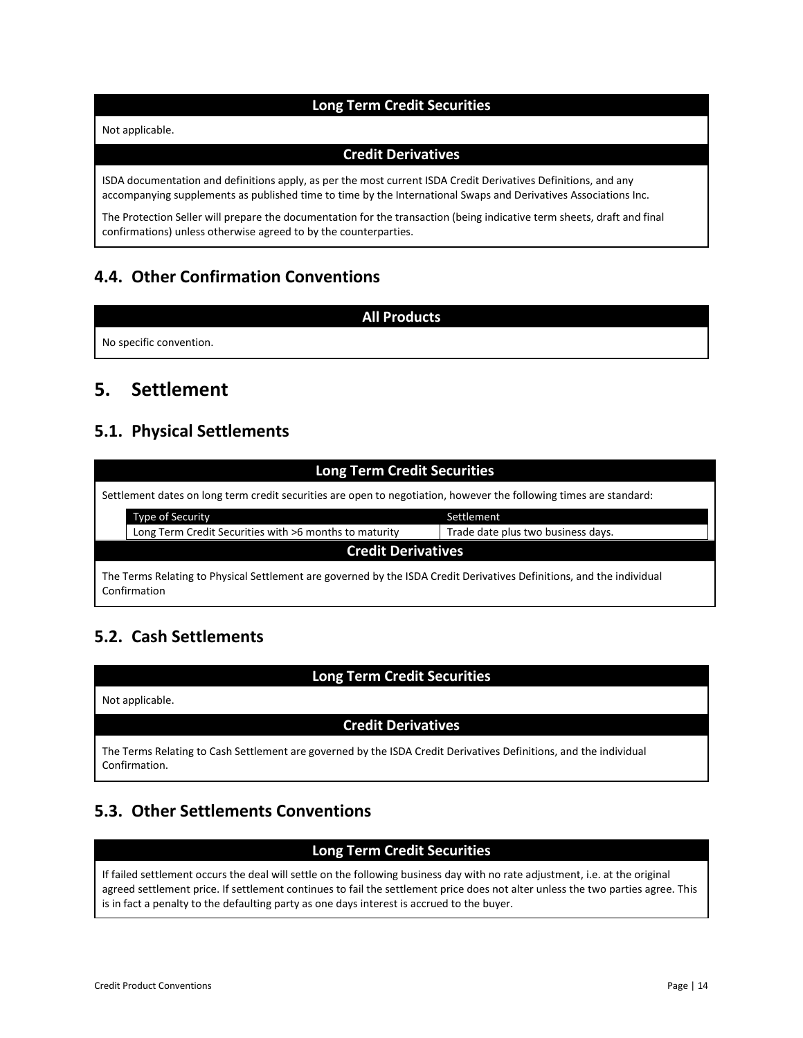### **Long Term Credit Securities**

#### Not applicable.

#### **Credit Derivatives**

ISDA documentation and definitions apply, as per the most current ISDA Credit Derivatives Definitions, and any accompanying supplements as published time to time by the International Swaps and Derivatives Associations Inc.

The Protection Seller will prepare the documentation for the transaction (being indicative term sheets, draft and final confirmations) unless otherwise agreed to by the counterparties.

### <span id="page-13-0"></span>**4.4. Other Confirmation Conventions**

#### **All Products**

No specific convention.

# <span id="page-13-1"></span>**5. Settlement**

### <span id="page-13-2"></span>**5.1. Physical Settlements**

| <b>Long Term Credit Securities</b>                                                                                                    |                                                        |                                    |  |  |  |
|---------------------------------------------------------------------------------------------------------------------------------------|--------------------------------------------------------|------------------------------------|--|--|--|
| Settlement dates on long term credit securities are open to negotiation, however the following times are standard:                    |                                                        |                                    |  |  |  |
|                                                                                                                                       | <b>Type of Security</b>                                | Settlement                         |  |  |  |
|                                                                                                                                       | Long Term Credit Securities with >6 months to maturity | Trade date plus two business days. |  |  |  |
| <b>Credit Derivatives</b>                                                                                                             |                                                        |                                    |  |  |  |
| The Terms Relating to Physical Settlement are governed by the ISDA Credit Derivatives Definitions, and the individual<br>Confirmation |                                                        |                                    |  |  |  |

## <span id="page-13-3"></span>**5.2. Cash Settlements**

### **Long Term Credit Securities**

Not applicable.

### **Credit Derivatives**

The Terms Relating to Cash Settlement are governed by the ISDA Credit Derivatives Definitions, and the individual Confirmation.

## <span id="page-13-4"></span>**5.3. Other Settlements Conventions**

### **Long Term Credit Securities**

If failed settlement occurs the deal will settle on the following business day with no rate adjustment, i.e. at the original agreed settlement price. If settlement continues to fail the settlement price does not alter unless the two parties agree. This is in fact a penalty to the defaulting party as one days interest is accrued to the buyer.